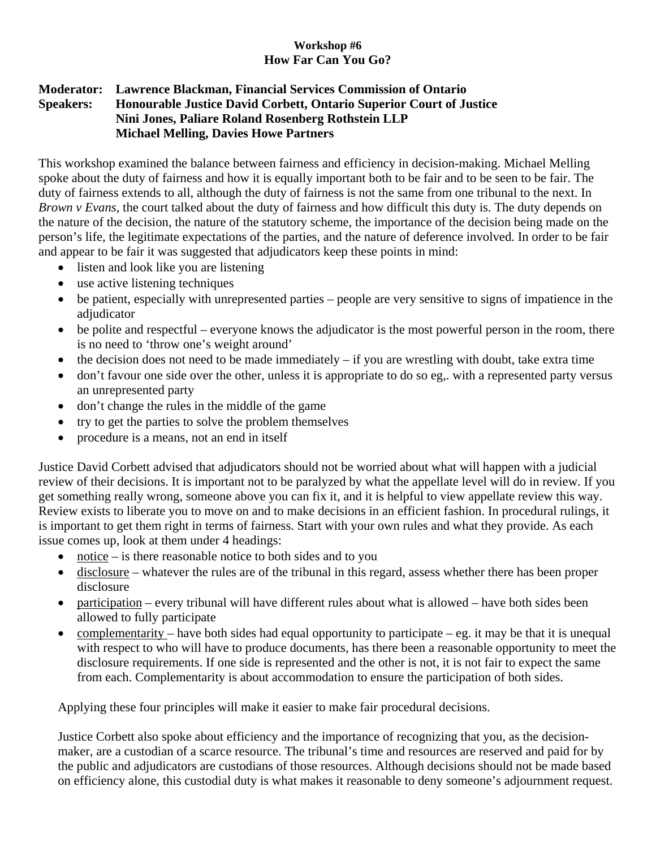## **Workshop #6 How Far Can You Go?**

## **Moderator: Lawrence Blackman, Financial Services Commission of Ontario Speakers: Honourable Justice David Corbett, Ontario Superior Court of Justice Nini Jones, Paliare Roland Rosenberg Rothstein LLP Michael Melling, Davies Howe Partners**

This workshop examined the balance between fairness and efficiency in decision-making. Michael Melling spoke about the duty of fairness and how it is equally important both to be fair and to be seen to be fair. The duty of fairness extends to all, although the duty of fairness is not the same from one tribunal to the next. In *Brown v Evans*, the court talked about the duty of fairness and how difficult this duty is. The duty depends on the nature of the decision, the nature of the statutory scheme, the importance of the decision being made on the person's life, the legitimate expectations of the parties, and the nature of deference involved. In order to be fair and appear to be fair it was suggested that adjudicators keep these points in mind:

- listen and look like you are listening
- use active listening techniques
- be patient, especially with unrepresented parties people are very sensitive to signs of impatience in the adjudicator
- be polite and respectful everyone knows the adjudicator is the most powerful person in the room, there is no need to 'throw one's weight around'
- the decision does not need to be made immediately  $-$  if you are wrestling with doubt, take extra time
- don't favour one side over the other, unless it is appropriate to do so eg,. with a represented party versus an unrepresented party
- don't change the rules in the middle of the game
- try to get the parties to solve the problem themselves
- procedure is a means, not an end in itself

Justice David Corbett advised that adjudicators should not be worried about what will happen with a judicial review of their decisions. It is important not to be paralyzed by what the appellate level will do in review. If you get something really wrong, someone above you can fix it, and it is helpful to view appellate review this way. Review exists to liberate you to move on and to make decisions in an efficient fashion. In procedural rulings, it is important to get them right in terms of fairness. Start with your own rules and what they provide. As each issue comes up, look at them under 4 headings:

- notice is there reasonable notice to both sides and to you
- disclosure whatever the rules are of the tribunal in this regard, assess whether there has been proper disclosure
- participation every tribunal will have different rules about what is allowed have both sides been allowed to fully participate
- complementarity have both sides had equal opportunity to participate eg. it may be that it is unequal with respect to who will have to produce documents, has there been a reasonable opportunity to meet the disclosure requirements. If one side is represented and the other is not, it is not fair to expect the same from each. Complementarity is about accommodation to ensure the participation of both sides.

Applying these four principles will make it easier to make fair procedural decisions.

Justice Corbett also spoke about efficiency and the importance of recognizing that you, as the decisionmaker, are a custodian of a scarce resource. The tribunal's time and resources are reserved and paid for by the public and adjudicators are custodians of those resources. Although decisions should not be made based on efficiency alone, this custodial duty is what makes it reasonable to deny someone's adjournment request.